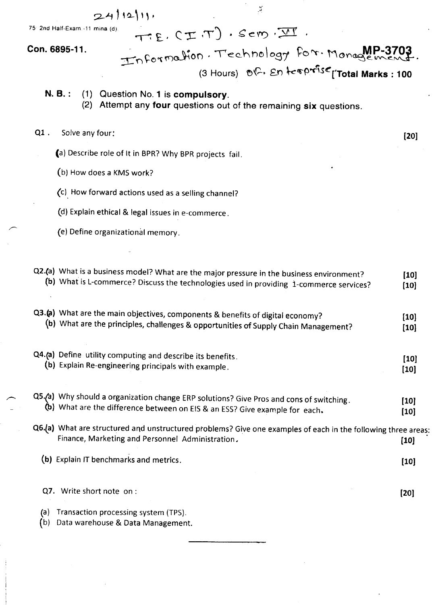$24112111$ 

75: 2nd Half-Exam.-11 mina (d).

TE. CIT ). Sem. II

 $\frac{1}{\sqrt{2}}$ 

#### Con. 6895-11.

Information. Technology for. Monagement

- N. B.: (1) Question No. 1 is compulsory.
	- (2) Attempt any **four** questions out of the remaining six questions.

#### $Q1$ . Solve any four:

(a) Describe role of It in BPR? Why BPR projects fail.

- (b) How does a KMS work?
- (c). How forward actions used as a selling channel?
- (d) Explain ethical & legal issues in e-commerce.
- (e) Define organizational memory.

|            | Q2.(a) What is a business model? What are the major pressure in the business environment?<br>(b) What is L-commerce? Discuss the technologies used in providing 1-commerce services? | $[10]$<br>$[10]$ |
|------------|--------------------------------------------------------------------------------------------------------------------------------------------------------------------------------------|------------------|
|            | Q3.(a) What are the main objectives, components & benefits of digital economy?<br>(b) What are the principles, challenges & opportunities of Supply Chain Management?                | $[10]$<br>$[10]$ |
|            | Q4.(a) Define utility computing and describe its benefits.<br>(b) Explain Re-engineering principals with example.                                                                    | $[10]$<br>$[10]$ |
|            | Q5.(a) Why should a organization change ERP solutions? Give Pros and cons of switching.<br>(b) What are the difference between on EIS & an ESS? Give example for each.               | $[10]$<br>$[10]$ |
|            | Q6.(a) What are structured and unstructured problems? Give one examples of each in the following three areas:<br>Finance, Marketing and Personnel Administration.                    | [10]             |
|            | (b) Explain IT benchmarks and metrics.                                                                                                                                               | $[10]$           |
|            | Q7. Write short note on:                                                                                                                                                             | $[20]$           |
| (a)<br>(b) | Transaction processing system (TPS).<br>Data warehouse & Data Management.                                                                                                            |                  |

 $[20]$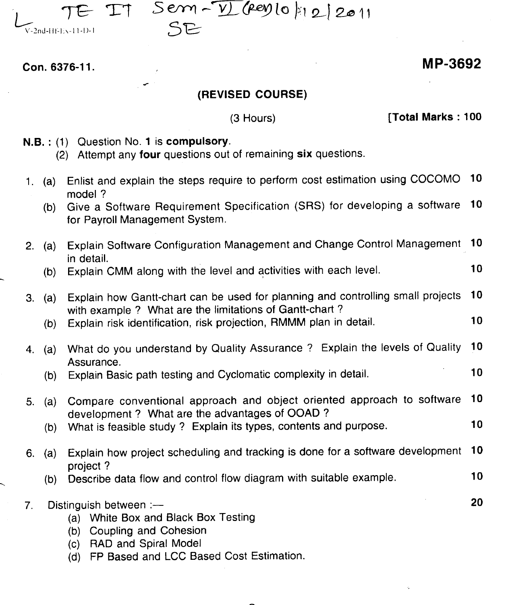

 $TT$  Sem- $\overline{V}$  (rey lo  $|12|$  2011

Con. 6376-11.

### MP-3692

### (REVISED COURSE)

(3 Hours)

**[Total Marks: 100** 

- N.B.: (1) Question No. 1 is compulsory.
	- (2) Attempt any four questions out of remaining six questions.
- 1. (a) Enlist and explain the steps require to perform cost estimation using COCOMO 10 model?
	- (b) Give a Software Requirement Specification (SRS) for developing a software 10 for Payroll Management System.
- 2. (a) Explain Software Configuration Management and Change Control Management 10 in detail.
	- (b) Explain CMM along with the level and activities with each level. 10
- 3. (a) Explain how Gantt-chart can be used for planning and controlling small projects 10 with example? What are the limitations of Gantt-chart ?
	- (b) Explain risk identification, risk projection, RMMM plan in detail. 10
- 4. (a) What do you understand by Quality Assurance? Explain the levels of Quality 10 Assurance.
	- (b) Explain Basic path testing and Cyclomatic complexity in detail. 10
- 5. (a) Compare conventional approach and object oriented approach to software 10 development? What are the advantages of OOAD ?
	- (b) What is feasible study? Explain its types, contents and purpose. 10
- 6. (a) Explain how project scheduling and tracking is done for a software development 10 project?
	- (b) Describe data flow and control flow diagram with suitable example. 10
- 7. Distinguish between :--- 20 (a) White Box and Black Box Testing
	- (b) Coupling and Cohesion
	- (c) RAD and Spiral Model
	- (d) FP Based and LCC Based Cost Estimation.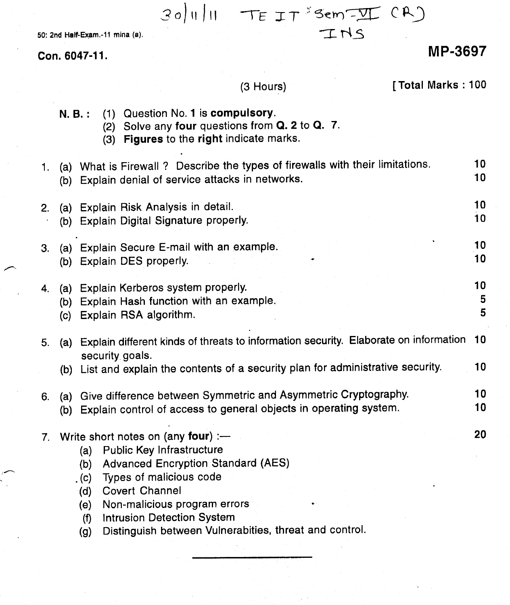$$
30|U||U = TEIT3Sem-TICR2
$$
  

50: 2nd Half-Exam.-11 mina (a).

Con. 6047-11.

# MP-3697

# (3 Hours)

# [Total Marks: 100

|    | $N. B.$ : | (1) Question No. 1 is compulsory.<br>Solve any four questions from Q. 2 to Q. 7.<br>(2)<br>Figures to the right indicate marks.<br>(3)                                                                                                                                                                                                                    |                       |
|----|-----------|-----------------------------------------------------------------------------------------------------------------------------------------------------------------------------------------------------------------------------------------------------------------------------------------------------------------------------------------------------------|-----------------------|
| 1. |           | (a) What is Firewall ? Describe the types of firewalls with their limitations.<br>(b) Explain denial of service attacks in networks.                                                                                                                                                                                                                      | 10 <sub>1</sub><br>10 |
| 2. |           | (a) Explain Risk Analysis in detail.<br>(b) Explain Digital Signature properly.                                                                                                                                                                                                                                                                           | 10 <sub>1</sub><br>10 |
| 3. |           | (a) Explain Secure E-mail with an example.<br>(b) Explain DES properly.                                                                                                                                                                                                                                                                                   | 10<br>10              |
| 4. |           | (a) Explain Kerberos system properly.<br>(b) Explain Hash function with an example.<br>(c) Explain RSA algorithm.                                                                                                                                                                                                                                         | 10<br>5<br>5          |
| 5. |           | (a) Explain different kinds of threats to information security. Elaborate on information<br>security goals.<br>(b) List and explain the contents of a security plan for administrative security.                                                                                                                                                          | 10<br>10              |
| 6. |           | (a) Give difference between Symmetric and Asymmetric Cryptography.<br>(b) Explain control of access to general objects in operating system.                                                                                                                                                                                                               | 10<br>10              |
| 7. |           | Write short notes on (any four) :-<br><b>Public Key Infrastructure</b><br>(a)<br><b>Advanced Encryption Standard (AES)</b><br>(b)<br>Types of malicious code<br>. (c)<br><b>Covert Channel</b><br>(d)<br>Non-malicious program errors<br>(e)<br><b>Intrusion Detection System</b><br>(f)<br>Distinguish between Vulnerabities, threat and control.<br>(g) | 20                    |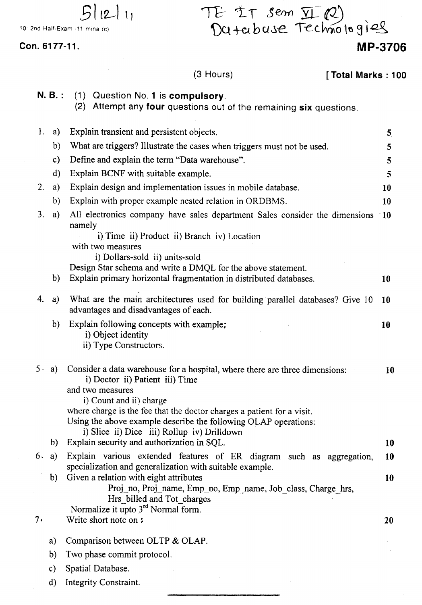TE IT sem II ( E IT sem <u>VI</u> (2)<br>Du terbuse Technologiel

Con. 6177-11.

10: 2nd Half-Exam -11 mina (c).

 $5112111$ 

### (3 Hours)

[Total Marks: 100

**MP-3706**

|       | $N. B.$ :     | (1) Question No. 1 is compulsory.<br>(2) Attempt any four questions out of the remaining six questions.                                                                                                                                                                                                                                                   |                         |
|-------|---------------|-----------------------------------------------------------------------------------------------------------------------------------------------------------------------------------------------------------------------------------------------------------------------------------------------------------------------------------------------------------|-------------------------|
| 1.    | a)            | Explain transient and persistent objects.                                                                                                                                                                                                                                                                                                                 | $\overline{\mathbf{5}}$ |
|       | b)            | What are triggers? Illustrate the cases when triggers must not be used.                                                                                                                                                                                                                                                                                   | 5                       |
|       | $\mathbf{c})$ | Define and explain the term "Data warehouse".                                                                                                                                                                                                                                                                                                             | 5                       |
|       | $\mathbf{d}$  | Explain BCNF with suitable example.                                                                                                                                                                                                                                                                                                                       | 5                       |
| 2.    | a)            | Explain design and implementation issues in mobile database.                                                                                                                                                                                                                                                                                              | 10                      |
|       | b)            | Explain with proper example nested relation in ORDBMS.                                                                                                                                                                                                                                                                                                    | 10                      |
| 3.    | a)            | All electronics company have sales department Sales consider the dimensions<br>namely<br>i) Time ii) Product ii) Branch iv) Location<br>with two measures<br>i) Dollars-sold ii) units-sold                                                                                                                                                               | $-10$                   |
|       | b)            | Design Star schema and write a DMQL for the above statement.<br>Explain primary horizontal fragmentation in distributed databases.                                                                                                                                                                                                                        | 10                      |
| 4.    | a)            | What are the main architectures used for building parallel databases? Give 10<br>advantages and disadvantages of each.                                                                                                                                                                                                                                    | 10                      |
|       | b)            | Explain following concepts with example;<br>i) Object identity<br>ii) Type Constructors.                                                                                                                                                                                                                                                                  | 10                      |
| $5 -$ | a)            | Consider a data warehouse for a hospital, where there are three dimensions:<br>i) Doctor ii) Patient iii) Time<br>and two measures<br>i) Count and ii) charge<br>where charge is the fee that the doctor charges a patient for a visit.<br>Using the above example describe the following OLAP operations:<br>i) Slice ii) Dice iii) Rollup iv) Drilldown | 10                      |
|       | b)            | Explain security and authorization in SQL.                                                                                                                                                                                                                                                                                                                | 10                      |
| 6.    | a)            | Explain various extended features of ER diagram such as aggregation,<br>specialization and generalization with suitable example.                                                                                                                                                                                                                          | 10                      |
|       | b)            | Given a relation with eight attributes<br>Proj_no, Proj_name, Emp_no, Emp_name, Job_class, Charge_hrs,<br>Hrs billed and Tot charges<br>Normalize it upto 3 <sup>rd</sup> Normal form.                                                                                                                                                                    | 10                      |
| 7.    |               | Write short note on:                                                                                                                                                                                                                                                                                                                                      | 20                      |
|       | a)            | Comparison between OLTP & OLAP.                                                                                                                                                                                                                                                                                                                           |                         |
|       | b)            | Two phase commit protocol.                                                                                                                                                                                                                                                                                                                                |                         |
|       | $\mathbf{c})$ | Spatial Database.                                                                                                                                                                                                                                                                                                                                         |                         |
|       | $\mathbf{d}$  | Integrity Constraint.                                                                                                                                                                                                                                                                                                                                     |                         |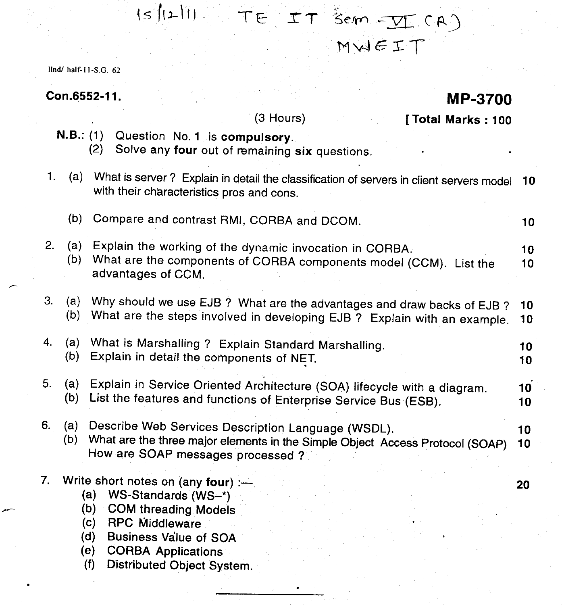## $|s| (2) 11$ TE IT Sem - VI CA MvJG:£T

 $\text{llnd}/\text{half-11-S.G.}$  62

### Con.6552-11.

### **MP-3700**

|                |            | (3 Hours)<br>[Total Marks: 100                                                                                                                                                                                    |                       |
|----------------|------------|-------------------------------------------------------------------------------------------------------------------------------------------------------------------------------------------------------------------|-----------------------|
|                |            | N.B.: (1) Question No. 1 is compulsory.<br>(2)<br>Solve any four out of remaining six questions.                                                                                                                  |                       |
| 1.             |            | (a) What is server? Explain in detail the classification of servers in client servers model<br>with their characteristics pros and cons.                                                                          | 10                    |
|                | (b)        | Compare and contrast RMI, CORBA and DCOM.                                                                                                                                                                         | 10 <sub>1</sub>       |
| 2.             | (a)<br>(b) | Explain the working of the dynamic invocation in CORBA.<br>What are the components of CORBA components model (CCM). List the<br>advantages of CCM.                                                                | 10<br>10              |
| 3.             | (a)<br>(b) | Why should we use EJB ? What are the advantages and draw backs of EJB ?<br>What are the steps involved in developing EJB ? Explain with an example.                                                               | 10 <sub>1</sub><br>10 |
| 4.             | (a)<br>(b) | What is Marshalling ? Explain Standard Marshalling.<br>Explain in detail the components of NET.                                                                                                                   | 10<br>10              |
| 5 <sub>1</sub> | (a)<br>(b) | Explain in Service Oriented Architecture (SOA) lifecycle with a diagram.<br>List the features and functions of Enterprise Service Bus (ESB).                                                                      | 10<br>10              |
| 6.             | (a)<br>(b) | Describe Web Services Description Language (WSDL).<br>What are the three major elements in the Simple Object Access Protocol (SOAP)<br>How are SOAP messages processed?                                           | 10<br>10              |
| 7.             |            | Write short notes on (any four) :-<br>(a)<br>WS-Standards (WS-*)<br>(b)<br><b>COM threading Models</b><br><b>RPC Middleware</b><br>(c)<br>(d)<br><b>Business Value of SOA</b><br><b>CORBA Applications</b><br>(e) | 20                    |

(f) Distributed Object System.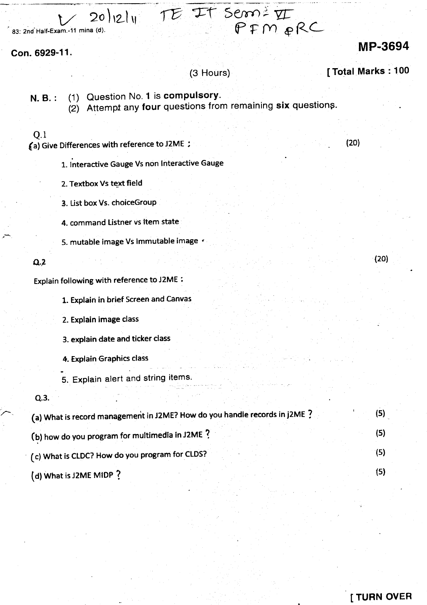$\frac{1}{\sqrt{20}}$  20<sup>1</sup>121<sup>1</sup> IE IT Serri VI 83: 2nd Half-Exam.-11 mina (d).

Con. 6929-11.

### MP-3694

 $(20)$ 

(3 Hours)

P~'M *R(ZL*

N. B.: (1) Question No. 1 is compulsory.

 $\overrightarrow{2}$  Attempt any four questions from remaining six questions.

#### Q.l

*ta)* Give Differences with reference to J2ME ;

 $(20)$ 

- 1. Interactive Gauge Vs non Interactive Gauge
- 2. Textbox Vs text field
- 3. List box Vs. choiceGroup
- 4. command Listner vs item state
- 5. mutable image Vs Immutable image <

#### $Q.2$

Explain following with reference to J2ME:

1. Explain in brief Screen and Canvas

2. Explain image class

3. explain date and ticker class

- 4. Explain Graphics class
- 5. Explain alert and string items.

 $Q.3.$ 

| (a) What is record management in J2ME? How do you handle records in J2ME ? |  |
|----------------------------------------------------------------------------|--|
| (b) how do you program for multimedia in J2ME ?                            |  |
| (c) What is CLDC? How do you program for CLDS?                             |  |
| (d) What is J2ME MIDP?                                                     |  |